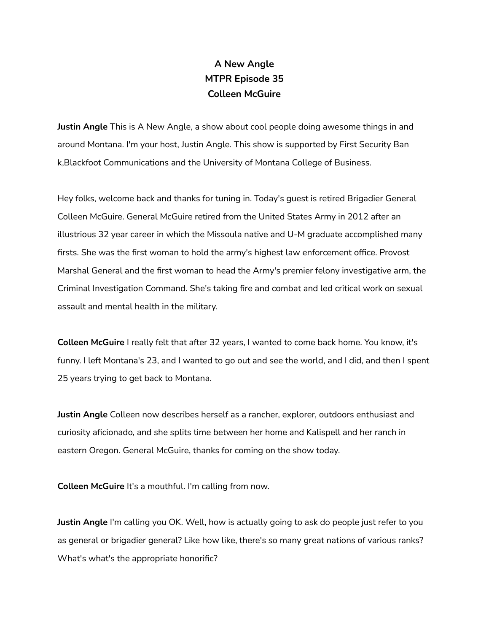## **A New Angle MTPR Episode 35 Colleen McGuire**

**Justin Angle** This is A New Angle, a show about cool people doing awesome things in and around Montana. I'm your host, Justin Angle. This show is supported by First Security Ban k,Blackfoot Communications and the University of Montana College of Business.

Hey folks, welcome back and thanks for tuning in. Today's guest is retired Brigadier General Colleen McGuire. General McGuire retired from the United States Army in 2012 after an illustrious 32 year career in which the Missoula native and U-M graduate accomplished many firsts. She was the first woman to hold the army's highest law enforcement office. Provost Marshal General and the first woman to head the Army's premier felony investigative arm, the Criminal Investigation Command. She's taking fire and combat and led critical work on sexual assault and mental health in the military.

**Colleen McGuire** I really felt that after 32 years, I wanted to come back home. You know, it's funny. I left Montana's 23, and I wanted to go out and see the world, and I did, and then I spent 25 years trying to get back to Montana.

**Justin Angle** Colleen now describes herself as a rancher, explorer, outdoors enthusiast and curiosity aficionado, and she splits time between her home and Kalispell and her ranch in eastern Oregon. General McGuire, thanks for coming on the show today.

**Colleen McGuire** It's a mouthful. I'm calling from now.

**Justin Angle** I'm calling you OK. Well, how is actually going to ask do people just refer to you as general or brigadier general? Like how like, there's so many great nations of various ranks? What's what's the appropriate honorific?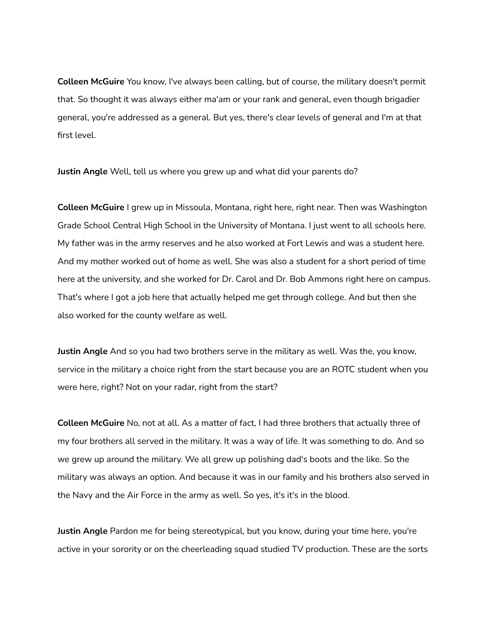**Colleen McGuire** You know, I've always been calling, but of course, the military doesn't permit that. So thought it was always either ma'am or your rank and general, even though brigadier general, you're addressed as a general. But yes, there's clear levels of general and I'm at that first level.

**Justin Angle** Well, tell us where you grew up and what did your parents do?

**Colleen McGuire** I grew up in Missoula, Montana, right here, right near. Then was Washington Grade School Central High School in the University of Montana. I just went to all schools here. My father was in the army reserves and he also worked at Fort Lewis and was a student here. And my mother worked out of home as well. She was also a student for a short period of time here at the university, and she worked for Dr. Carol and Dr. Bob Ammons right here on campus. That's where I got a job here that actually helped me get through college. And but then she also worked for the county welfare as well.

**Justin Angle** And so you had two brothers serve in the military as well. Was the, you know, service in the military a choice right from the start because you are an ROTC student when you were here, right? Not on your radar, right from the start?

**Colleen McGuire** No, not at all. As a matter of fact, I had three brothers that actually three of my four brothers all served in the military. It was a way of life. It was something to do. And so we grew up around the military. We all grew up polishing dad's boots and the like. So the military was always an option. And because it was in our family and his brothers also served in the Navy and the Air Force in the army as well. So yes, it's it's in the blood.

**Justin Angle** Pardon me for being stereotypical, but you know, during your time here, you're active in your sorority or on the cheerleading squad studied TV production. These are the sorts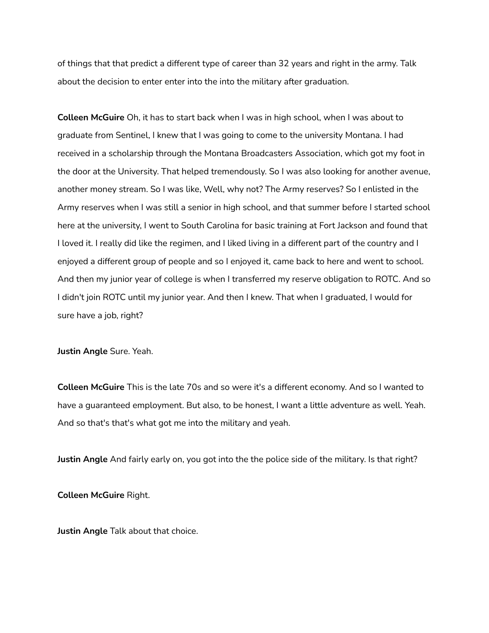of things that that predict a different type of career than 32 years and right in the army. Talk about the decision to enter enter into the into the military after graduation.

**Colleen McGuire** Oh, it has to start back when I was in high school, when I was about to graduate from Sentinel, I knew that I was going to come to the university Montana. I had received in a scholarship through the Montana Broadcasters Association, which got my foot in the door at the University. That helped tremendously. So I was also looking for another avenue, another money stream. So I was like, Well, why not? The Army reserves? So I enlisted in the Army reserves when I was still a senior in high school, and that summer before I started school here at the university, I went to South Carolina for basic training at Fort Jackson and found that I loved it. I really did like the regimen, and I liked living in a different part of the country and I enjoyed a different group of people and so I enjoyed it, came back to here and went to school. And then my junior year of college is when I transferred my reserve obligation to ROTC. And so I didn't join ROTC until my junior year. And then I knew. That when I graduated, I would for sure have a job, right?

**Justin Angle** Sure. Yeah.

**Colleen McGuire** This is the late 70s and so were it's a different economy. And so I wanted to have a guaranteed employment. But also, to be honest, I want a little adventure as well. Yeah. And so that's that's what got me into the military and yeah.

**Justin Angle** And fairly early on, you got into the the police side of the military. Is that right?

**Colleen McGuire** Right.

**Justin Angle** Talk about that choice.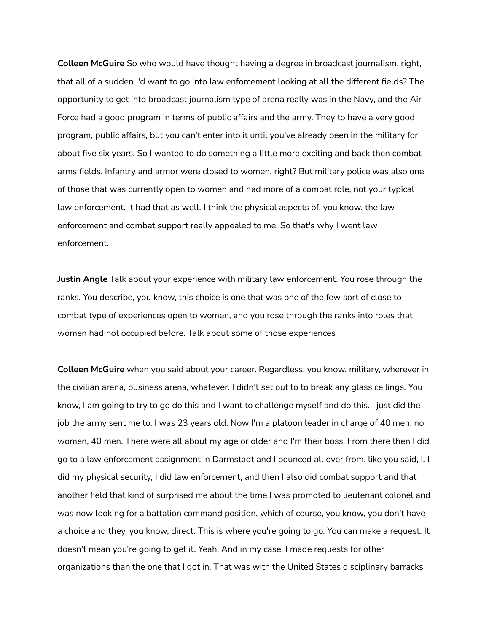**Colleen McGuire** So who would have thought having a degree in broadcast journalism, right, that all of a sudden I'd want to go into law enforcement looking at all the different fields? The opportunity to get into broadcast journalism type of arena really was in the Navy, and the Air Force had a good program in terms of public affairs and the army. They to have a very good program, public affairs, but you can't enter into it until you've already been in the military for about five six years. So I wanted to do something a little more exciting and back then combat arms fields. Infantry and armor were closed to women, right? But military police was also one of those that was currently open to women and had more of a combat role, not your typical law enforcement. It had that as well. I think the physical aspects of, you know, the law enforcement and combat support really appealed to me. So that's why I went law enforcement.

**Justin Angle** Talk about your experience with military law enforcement. You rose through the ranks. You describe, you know, this choice is one that was one of the few sort of close to combat type of experiences open to women, and you rose through the ranks into roles that women had not occupied before. Talk about some of those experiences

**Colleen McGuire** when you said about your career. Regardless, you know, military, wherever in the civilian arena, business arena, whatever. I didn't set out to to break any glass ceilings. You know, I am going to try to go do this and I want to challenge myself and do this. I just did the job the army sent me to. I was 23 years old. Now I'm a platoon leader in charge of 40 men, no women, 40 men. There were all about my age or older and I'm their boss. From there then I did go to a law enforcement assignment in Darmstadt and I bounced all over from, like you said, I. I did my physical security, I did law enforcement, and then I also did combat support and that another field that kind of surprised me about the time I was promoted to lieutenant colonel and was now looking for a battalion command position, which of course, you know, you don't have a choice and they, you know, direct. This is where you're going to go. You can make a request. It doesn't mean you're going to get it. Yeah. And in my case, I made requests for other organizations than the one that I got in. That was with the United States disciplinary barracks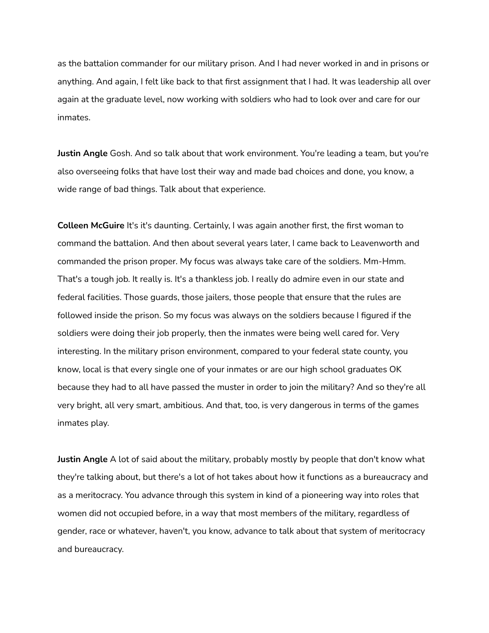as the battalion commander for our military prison. And I had never worked in and in prisons or anything. And again, I felt like back to that first assignment that I had. It was leadership all over again at the graduate level, now working with soldiers who had to look over and care for our inmates.

**Justin Angle** Gosh. And so talk about that work environment. You're leading a team, but you're also overseeing folks that have lost their way and made bad choices and done, you know, a wide range of bad things. Talk about that experience.

**Colleen McGuire** It's it's daunting. Certainly, I was again another first, the first woman to command the battalion. And then about several years later, I came back to Leavenworth and commanded the prison proper. My focus was always take care of the soldiers. Mm-Hmm. That's a tough job. It really is. It's a thankless job. I really do admire even in our state and federal facilities. Those guards, those jailers, those people that ensure that the rules are followed inside the prison. So my focus was always on the soldiers because I figured if the soldiers were doing their job properly, then the inmates were being well cared for. Very interesting. In the military prison environment, compared to your federal state county, you know, local is that every single one of your inmates or are our high school graduates OK because they had to all have passed the muster in order to join the military? And so they're all very bright, all very smart, ambitious. And that, too, is very dangerous in terms of the games inmates play.

**Justin Angle** A lot of said about the military, probably mostly by people that don't know what they're talking about, but there's a lot of hot takes about how it functions as a bureaucracy and as a meritocracy. You advance through this system in kind of a pioneering way into roles that women did not occupied before, in a way that most members of the military, regardless of gender, race or whatever, haven't, you know, advance to talk about that system of meritocracy and bureaucracy.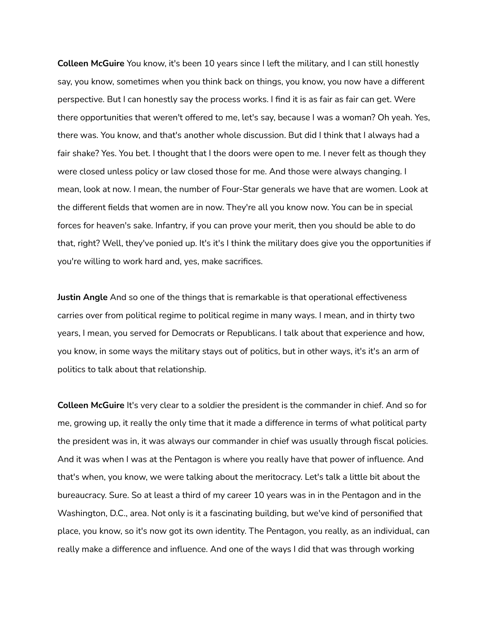**Colleen McGuire** You know, it's been 10 years since I left the military, and I can still honestly say, you know, sometimes when you think back on things, you know, you now have a different perspective. But I can honestly say the process works. I find it is as fair as fair can get. Were there opportunities that weren't offered to me, let's say, because I was a woman? Oh yeah. Yes, there was. You know, and that's another whole discussion. But did I think that I always had a fair shake? Yes. You bet. I thought that I the doors were open to me. I never felt as though they were closed unless policy or law closed those for me. And those were always changing. I mean, look at now. I mean, the number of Four-Star generals we have that are women. Look at the different fields that women are in now. They're all you know now. You can be in special forces for heaven's sake. Infantry, if you can prove your merit, then you should be able to do that, right? Well, they've ponied up. It's it's I think the military does give you the opportunities if you're willing to work hard and, yes, make sacrifices.

**Justin Angle** And so one of the things that is remarkable is that operational effectiveness carries over from political regime to political regime in many ways. I mean, and in thirty two years, I mean, you served for Democrats or Republicans. I talk about that experience and how, you know, in some ways the military stays out of politics, but in other ways, it's it's an arm of politics to talk about that relationship.

**Colleen McGuire** It's very clear to a soldier the president is the commander in chief. And so for me, growing up, it really the only time that it made a difference in terms of what political party the president was in, it was always our commander in chief was usually through fiscal policies. And it was when I was at the Pentagon is where you really have that power of influence. And that's when, you know, we were talking about the meritocracy. Let's talk a little bit about the bureaucracy. Sure. So at least a third of my career 10 years was in in the Pentagon and in the Washington, D.C., area. Not only is it a fascinating building, but we've kind of personified that place, you know, so it's now got its own identity. The Pentagon, you really, as an individual, can really make a difference and influence. And one of the ways I did that was through working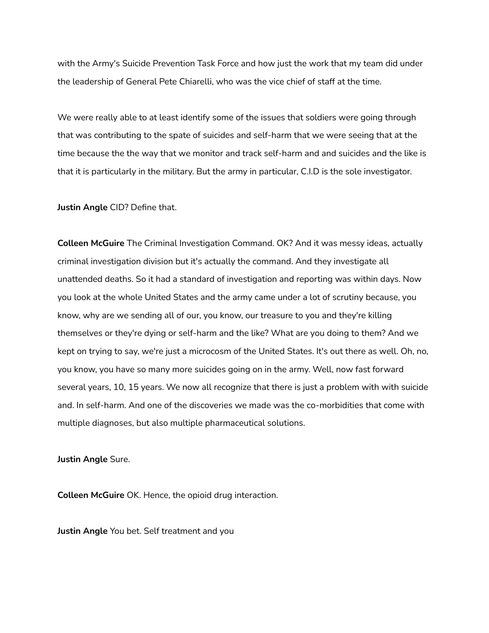with the Army's Suicide Prevention Task Force and how just the work that my team did under the leadership of General Pete Chiarelli, who was the vice chief of staff at the time.

We were really able to at least identify some of the issues that soldiers were going through that was contributing to the spate of suicides and self-harm that we were seeing that at the time because the the way that we monitor and track self-harm and and suicides and the like is that it is particularly in the military. But the army in particular, C.I.D is the sole investigator.

**Justin Angle** CID? Define that.

**Colleen McGuire** The Criminal Investigation Command. OK? And it was messy ideas, actually criminal investigation division but it's actually the command. And they investigate all unattended deaths. So it had a standard of investigation and reporting was within days. Now you look at the whole United States and the army came under a lot of scrutiny because, you know, why are we sending all of our, you know, our treasure to you and they're killing themselves or they're dying or self-harm and the like? What are you doing to them? And we kept on trying to say, we're just a microcosm of the United States. It's out there as well. Oh, no, you know, you have so many more suicides going on in the army. Well, now fast forward several years, 10, 15 years. We now all recognize that there is just a problem with with suicide and. In self-harm. And one of the discoveries we made was the co-morbidities that come with multiple diagnoses, but also multiple pharmaceutical solutions.

**Justin Angle** Sure.

**Colleen McGuire** OK. Hence, the opioid drug interaction.

**Justin Angle** You bet. Self treatment and you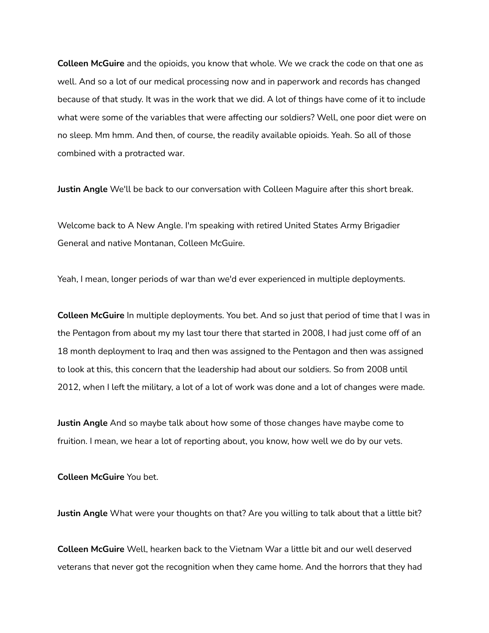**Colleen McGuire** and the opioids, you know that whole. We we crack the code on that one as well. And so a lot of our medical processing now and in paperwork and records has changed because of that study. It was in the work that we did. A lot of things have come of it to include what were some of the variables that were affecting our soldiers? Well, one poor diet were on no sleep. Mm hmm. And then, of course, the readily available opioids. Yeah. So all of those combined with a protracted war.

**Justin Angle** We'll be back to our conversation with Colleen Maguire after this short break.

Welcome back to A New Angle. I'm speaking with retired United States Army Brigadier General and native Montanan, Colleen McGuire.

Yeah, I mean, longer periods of war than we'd ever experienced in multiple deployments.

**Colleen McGuire** In multiple deployments. You bet. And so just that period of time that I was in the Pentagon from about my my last tour there that started in 2008, I had just come off of an 18 month deployment to Iraq and then was assigned to the Pentagon and then was assigned to look at this, this concern that the leadership had about our soldiers. So from 2008 until 2012, when I left the military, a lot of a lot of work was done and a lot of changes were made.

**Justin Angle** And so maybe talk about how some of those changes have maybe come to fruition. I mean, we hear a lot of reporting about, you know, how well we do by our vets.

**Colleen McGuire** You bet.

**Justin Angle** What were your thoughts on that? Are you willing to talk about that a little bit?

**Colleen McGuire** Well, hearken back to the Vietnam War a little bit and our well deserved veterans that never got the recognition when they came home. And the horrors that they had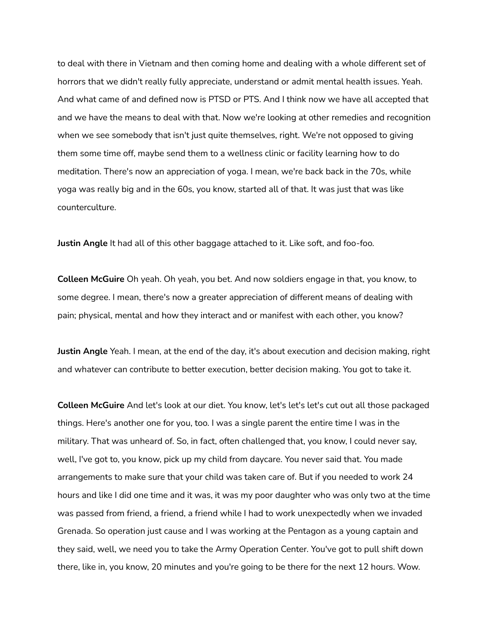to deal with there in Vietnam and then coming home and dealing with a whole different set of horrors that we didn't really fully appreciate, understand or admit mental health issues. Yeah. And what came of and defined now is PTSD or PTS. And I think now we have all accepted that and we have the means to deal with that. Now we're looking at other remedies and recognition when we see somebody that isn't just quite themselves, right. We're not opposed to giving them some time off, maybe send them to a wellness clinic or facility learning how to do meditation. There's now an appreciation of yoga. I mean, we're back back in the 70s, while yoga was really big and in the 60s, you know, started all of that. It was just that was like counterculture.

**Justin Angle** It had all of this other baggage attached to it. Like soft, and foo-foo.

**Colleen McGuire** Oh yeah. Oh yeah, you bet. And now soldiers engage in that, you know, to some degree. I mean, there's now a greater appreciation of different means of dealing with pain; physical, mental and how they interact and or manifest with each other, you know?

**Justin Angle** Yeah. I mean, at the end of the day, it's about execution and decision making, right and whatever can contribute to better execution, better decision making. You got to take it.

**Colleen McGuire** And let's look at our diet. You know, let's let's let's cut out all those packaged things. Here's another one for you, too. I was a single parent the entire time I was in the military. That was unheard of. So, in fact, often challenged that, you know, I could never say, well, I've got to, you know, pick up my child from daycare. You never said that. You made arrangements to make sure that your child was taken care of. But if you needed to work 24 hours and like I did one time and it was, it was my poor daughter who was only two at the time was passed from friend, a friend, a friend while I had to work unexpectedly when we invaded Grenada. So operation just cause and I was working at the Pentagon as a young captain and they said, well, we need you to take the Army Operation Center. You've got to pull shift down there, like in, you know, 20 minutes and you're going to be there for the next 12 hours. Wow.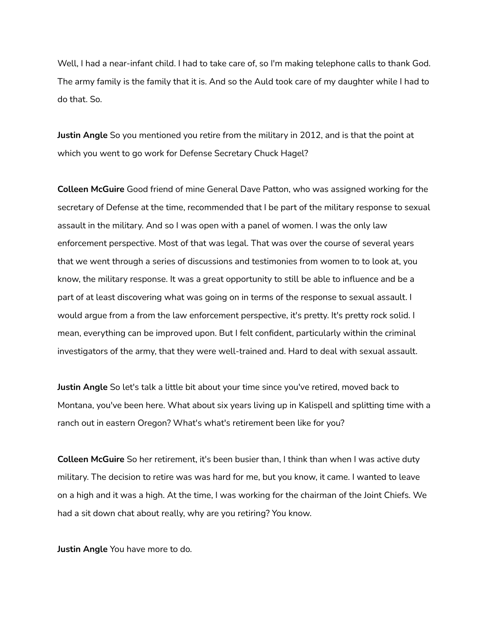Well, I had a near-infant child. I had to take care of, so I'm making telephone calls to thank God. The army family is the family that it is. And so the Auld took care of my daughter while I had to do that. So.

**Justin Angle** So you mentioned you retire from the military in 2012, and is that the point at which you went to go work for Defense Secretary Chuck Hagel?

**Colleen McGuire** Good friend of mine General Dave Patton, who was assigned working for the secretary of Defense at the time, recommended that I be part of the military response to sexual assault in the military. And so I was open with a panel of women. I was the only law enforcement perspective. Most of that was legal. That was over the course of several years that we went through a series of discussions and testimonies from women to to look at, you know, the military response. It was a great opportunity to still be able to influence and be a part of at least discovering what was going on in terms of the response to sexual assault. I would argue from a from the law enforcement perspective, it's pretty. It's pretty rock solid. I mean, everything can be improved upon. But I felt confident, particularly within the criminal investigators of the army, that they were well-trained and. Hard to deal with sexual assault.

**Justin Angle** So let's talk a little bit about your time since you've retired, moved back to Montana, you've been here. What about six years living up in Kalispell and splitting time with a ranch out in eastern Oregon? What's what's retirement been like for you?

**Colleen McGuire** So her retirement, it's been busier than, I think than when I was active duty military. The decision to retire was was hard for me, but you know, it came. I wanted to leave on a high and it was a high. At the time, I was working for the chairman of the Joint Chiefs. We had a sit down chat about really, why are you retiring? You know.

**Justin Angle** You have more to do.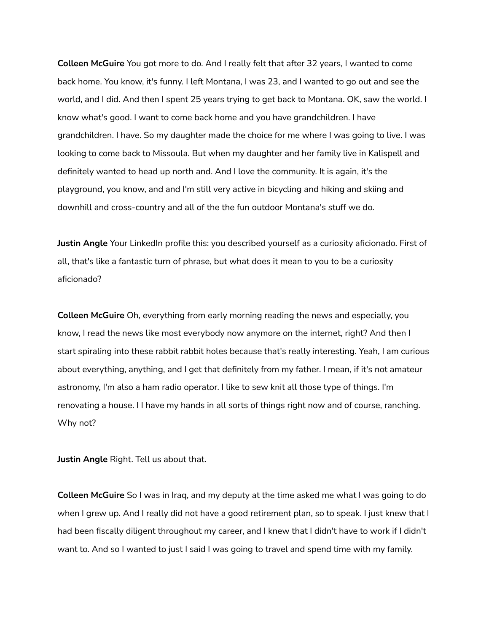**Colleen McGuire** You got more to do. And I really felt that after 32 years, I wanted to come back home. You know, it's funny. I left Montana, I was 23, and I wanted to go out and see the world, and I did. And then I spent 25 years trying to get back to Montana. OK, saw the world. I know what's good. I want to come back home and you have grandchildren. I have grandchildren. I have. So my daughter made the choice for me where I was going to live. I was looking to come back to Missoula. But when my daughter and her family live in Kalispell and definitely wanted to head up north and. And I love the community. It is again, it's the playground, you know, and and I'm still very active in bicycling and hiking and skiing and downhill and cross-country and all of the the fun outdoor Montana's stuff we do.

**Justin Angle** Your LinkedIn profile this: you described yourself as a curiosity aficionado. First of all, that's like a fantastic turn of phrase, but what does it mean to you to be a curiosity aficionado?

**Colleen McGuire** Oh, everything from early morning reading the news and especially, you know, I read the news like most everybody now anymore on the internet, right? And then I start spiraling into these rabbit rabbit holes because that's really interesting. Yeah, I am curious about everything, anything, and I get that definitely from my father. I mean, if it's not amateur astronomy, I'm also a ham radio operator. I like to sew knit all those type of things. I'm renovating a house. I I have my hands in all sorts of things right now and of course, ranching. Why not?

**Justin Angle** Right. Tell us about that.

**Colleen McGuire** So I was in Iraq, and my deputy at the time asked me what I was going to do when I grew up. And I really did not have a good retirement plan, so to speak. I just knew that I had been fiscally diligent throughout my career, and I knew that I didn't have to work if I didn't want to. And so I wanted to just I said I was going to travel and spend time with my family.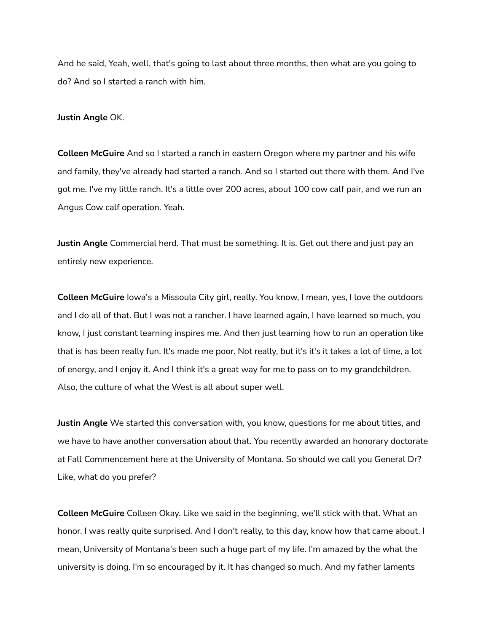And he said, Yeah, well, that's going to last about three months, then what are you going to do? And so I started a ranch with him.

## **Justin Angle** OK.

**Colleen McGuire** And so I started a ranch in eastern Oregon where my partner and his wife and family, they've already had started a ranch. And so I started out there with them. And I've got me. I've my little ranch. It's a little over 200 acres, about 100 cow calf pair, and we run an Angus Cow calf operation. Yeah.

**Justin Angle** Commercial herd. That must be something. It is. Get out there and just pay an entirely new experience.

**Colleen McGuire** Iowa's a Missoula City girl, really. You know, I mean, yes, I love the outdoors and I do all of that. But I was not a rancher. I have learned again, I have learned so much, you know, I just constant learning inspires me. And then just learning how to run an operation like that is has been really fun. It's made me poor. Not really, but it's it's it takes a lot of time, a lot of energy, and I enjoy it. And I think it's a great way for me to pass on to my grandchildren. Also, the culture of what the West is all about super well.

**Justin Angle** We started this conversation with, you know, questions for me about titles, and we have to have another conversation about that. You recently awarded an honorary doctorate at Fall Commencement here at the University of Montana. So should we call you General Dr? Like, what do you prefer?

**Colleen McGuire** Colleen Okay. Like we said in the beginning, we'll stick with that. What an honor. I was really quite surprised. And I don't really, to this day, know how that came about. I mean, University of Montana's been such a huge part of my life. I'm amazed by the what the university is doing. I'm so encouraged by it. It has changed so much. And my father laments